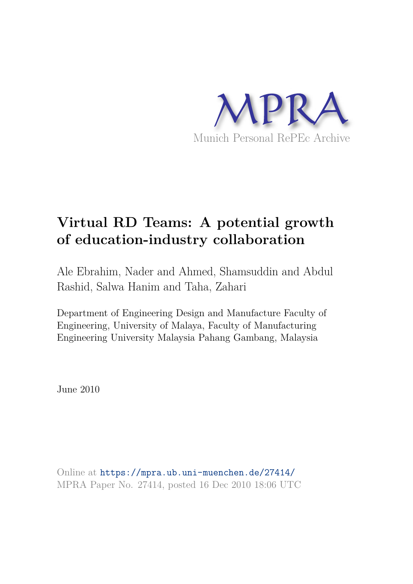

# **Virtual RD Teams: A potential growth of education-industry collaboration**

Ale Ebrahim, Nader and Ahmed, Shamsuddin and Abdul Rashid, Salwa Hanim and Taha, Zahari

Department of Engineering Design and Manufacture Faculty of Engineering, University of Malaya, Faculty of Manufacturing Engineering University Malaysia Pahang Gambang, Malaysia

June 2010

Online at https://mpra.ub.uni-muenchen.de/27414/ MPRA Paper No. 27414, posted 16 Dec 2010 18:06 UTC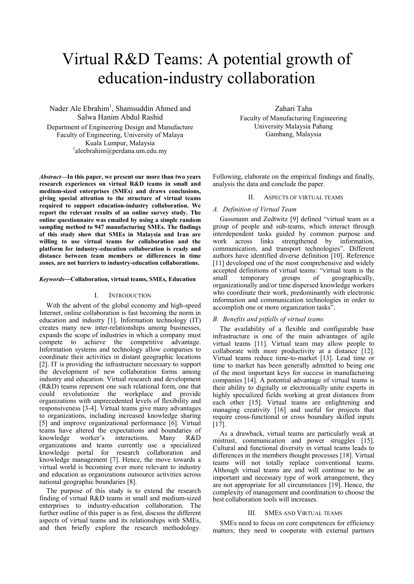# Virtual R&D Teams: A potential growth of education-industry collaboration

Nader Ale Ebrahim<sup>1</sup>, Shamsuddin Ahmed and Salwa Hanim Abdul Rashid

Department of Engineering Design and Manufacture Faculty of Engineering, University of Malaya Kuala Lumpur, Malaysia 1 aleebrahim@perdana.um.edu.my

*Abstract***—In this paper, we present our more than two years research experiences on virtual R&D teams in small and medium-sized enterprises (SMEs) and draws conclusions, giving special attention to the structure of virtual teams required to support education-industry collaboration. We report the relevant results of an online survey study. The online questionnaire was emailed by using a simple random sampling method to 947 manufacturing SMEs. The findings of this study show that SMEs in Malaysia and Iran are willing to use virtual teams for collaboration and the platform for industry-education collaboration is ready and distance between team members or differences in time zones, are not barriers to industry-education collaborations.**

#### *Keywords*—**Collaboration, virtual teams, SMEs, Education**

### I. INTRODUCTION

With the advent of the global economy and high-speed Internet, online collaboration is fast becoming the norm in education and industry [1]. Information technology (IT) creates many new inter-relationships among businesses, expands the scope of industries in which a company must compete to achieve the competitive advantage. Information systems and technology allow companies to coordinate their activities in distant geographic locations [2]. IT is providing the infrastructure necessary to support the development of new collaboration forms among industry and education. Virtual research and development (R&D) teams represent one such relational form, one that could revolutionize the workplace and provide could revolutionize the workplace and provide organizations with unprecedented levels of flexibility and responsiveness [3-4]. Virtual teams give many advantages to organizations, including increased knowledge sharing [5] and improve organizational performance [6]. Virtual teams have altered the expectations and boundaries of knowledge worker's interactions. Many R&D interactions. Many R&D organizations and teams currently use a specialized knowledge portal for research collaboration and knowledge management [7]. Hence, the move towards a virtual world is becoming ever more relevant to industry and education as organizations outsource activities across national geographic boundaries [8].

The purpose of this study is to extend the research finding of virtual R&D teams in small and medium-sized enterprises to industry-education collaboration. The further outline of this paper is as first, discuss the different aspects of virtual teams and its relationships with SMEs, and then briefly explore the research methodology.

Zahari Taha Faculty of Manufacturing Engineering University Malaysia Pahang Gambang, Malaysia

Following, elaborate on the empirical findings and finally, analysis the data and conclude the paper.

## II. ASPECTS OF VIRTUAL TEAMS

### *A. Definition of Virtual Team*

Gassmann and Zedtwitz [9] defined "virtual team as a group of people and sub-teams, which interact through interdependent tasks guided by common purpose and work across links strengthened by information, communication, and transport technologies". Different authors have identified diverse definition [10]. Reference [11] developed one of the most comprehensive and widely accepted definitions of virtual teams: "virtual team is the small temporary groups of geographically. small temporary groups of geographically, organizationally and/or time dispersed knowledge workers who coordinate their work, predominantly with electronic information and communication technologies in order to accomplish one or more organization tasks".

#### *B. Benefits and pitfalls of virtual teams*

The availability of a flexible and configurable base infrastructure is one of the main advantages of agile virtual teams [11]. Virtual team may allow people to collaborate with more productivity at a distance [12]. Virtual teams reduce time-to-market [13]. Lead time or time to market has been generally admitted to being one of the most important keys for success in manufacturing companies [14]. A potential advantage of virtual teams is their ability to digitally or electronically unite experts in highly specialized fields working at great distances from each other [15]. Virtual teams are enlightening and managing creativity [16] and useful for projects that require cross-functional or cross boundary skilled inputs [17].

As a drawback, virtual teams are particularly weak at mistrust, communication and power struggles [15]. Cultural and functional diversity in virtual teams leads to differences in the members thought processes [18]. Virtual teams will not totally replace conventional teams. Although virtual teams are and will continue to be an important and necessary type of work arrangement, they are not appropriate for all circumstances [19]. Hence, the complexity of management and coordination to choose the best collaboration tools will increases.

## III. SMES AND VIRTUAL TEAMS

SMEs need to focus on core competences for efficiency matters; they need to cooperate with external partners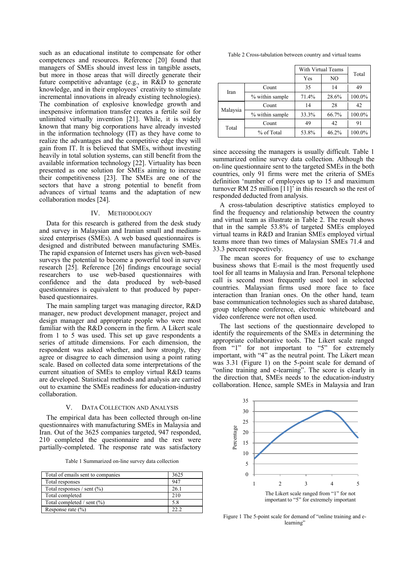such as an educational institute to compensate for other competences and resources. Reference [20] found that managers of SMEs should invest less in tangible assets, but more in those areas that will directly generate their future competitive advantage (e.g., in R&D to generate knowledge, and in their employees' creativity to stimulate incremental innovations in already existing technologies). The combination of explosive knowledge growth and inexpensive information transfer creates a fertile soil for unlimited virtually invention [21]. While, it is widely known that many big corporations have already invested in the information technology (IT) as they have come to realize the advantages and the competitive edge they will gain from IT. It is believed that SMEs, without investing heavily in total solution systems, can still benefit from the available information technology [22]. Virtuality has been presented as one solution for SMEs aiming to increase their competitiveness [23]. The SMEs are one of the sectors that have a strong potential to benefit from advances of virtual teams and the adaptation of new collaboration modes [24].

## IV. METHODOLOGY

Data for this research is gathered from the desk study and survey in Malaysian and Iranian small and mediumsized enterprises (SMEs). A web based questionnaires is designed and distributed between manufacturing SMEs. The rapid expansion of Internet users has given web-based surveys the potential to become a powerful tool in survey research [25]. Reference [26] findings encourage social researchers to use web-based questionnaires with confidence and the data produced by web-based questionnaires is equivalent to that produced by paperbased questionnaires.

The main sampling target was managing director, R&D manager, new product development manager, project and design manager and appropriate people who were most familiar with the R&D concern in the firm. A Likert scale from 1 to 5 was used. This set up gave respondents a series of attitude dimensions. For each dimension, the respondent was asked whether, and how strongly, they agree or disagree to each dimension using a point rating scale. Based on collected data some interpretations of the current situation of SMEs to employ virtual R&D teams are developed. Statistical methods and analysis are carried out to examine the SMEs readiness for education-industry collaboration.

## V. DATA COLLECTION AND ANALYSIS

The empirical data has been collected through on-line questionnaires with manufacturing SMEs in Malaysia and Iran. Out of the 3625 companies targeted, 947 responded, 210 completed the questionnaire and the rest were partially-completed. The response rate was satisfactory

Table 1 Summarized on-line survey data collection

<span id="page-2-0"></span>

| Total of emails sent to companies | 3625 |
|-----------------------------------|------|
| Total responses                   | 947  |
| Total responses / sent $(\% )$    | 26.1 |
| Total completed                   | 210  |
| Total completed / sent (%)        | 5.8  |
| Response rate $(\% )$             |      |

<span id="page-2-1"></span>

| Table 2 Cross-tabulation between country and virtual teams |  |  |  |
|------------------------------------------------------------|--|--|--|
|                                                            |  |  |  |

|          |                 | With Virtual Teams<br>NO<br>Yes |       | Total  |  |
|----------|-----------------|---------------------------------|-------|--------|--|
|          |                 |                                 |       |        |  |
| Iran     | Count           | 35                              | 14    | 49     |  |
|          | % within sample | 71.4%                           | 28.6% | 100.0% |  |
| Malaysia | Count           | 14                              | 28    | 42     |  |
|          | % within sample | 33.3%                           | 66.7% | 100.0% |  |
| Total    | Count           | 49                              | 42    | 91     |  |
|          | % of Total      | 53.8%                           | 46.2% | 100.0% |  |

since accessing the managers is usually difficult. [Table 1](#page-2-0)  summarized online survey data collection. Although the on-line questionnaire sent to the targeted SMEs in the both countries, only 91 firms were met the criteria of SMEs definition "number of employees up to 15 and maximum turnover RM 25 million [11]" in this research so the rest of responded deducted from analysis.

A cross-tabulation descriptive statistics employed to find the frequency and relationship between the country and virtual team as illustrate in [Table 2.](#page-2-1) The result shows that in the sample 53.8% of targeted SMEs employed virtual teams in R&D and Iranian SMEs employed virtual teams more than two times of Malaysian SMEs 71.4 and 33.3 percent respectively.

The mean scores for frequency of use to exchange business shows that E-mail is the most frequently used tool for all teams in Malaysia and Iran. Personal telephone call is second most frequently used tool in selected countries. Malaysian firms used more face to face interaction than Iranian ones. On the other hand, team base communication technologies such as shared database, group telephone conference, electronic whiteboard and video conference were not often used.

The last sections of the questionnaire developed to identify the requirements of the SMEs in determining the appropriate collaborative tools. The Likert scale ranged from "1" for not important to "5" for extremely important, with "4" as the neutral point. The Likert mean was 3.31 (Figure 1) on the 5-point scale for demand of "online training and e-learning". The score is clearly in the direction that, SMEs needs to the education-industry collaboration. Hence, sample SMEs in Malaysia and Iran



Figure 1 The 5-point scale for demand of "online training and elearning'